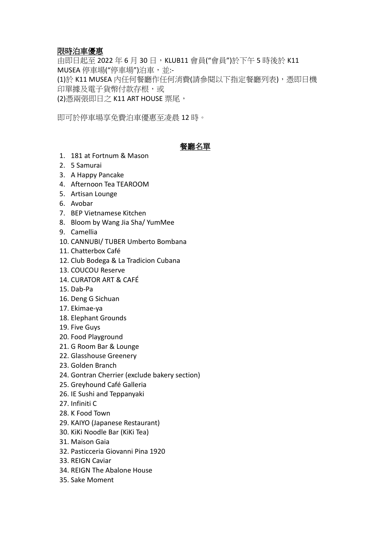## 限時泊車優惠

由即日起至 2022 年 6 月 30 日, KLUB11 會員("會員")於下午 5 時後於 K11 MUSEA 停車場("停車場")泊車,並:-(1)於 K11 MUSEA 內任何餐廳作任何消費(請參閱以下指定餐廳列表),憑即日機 印單據及電子貨幣付款存根,或

(2)憑兩張即日之 K11 ART HOUSE 票尾,

即可於停車場享免費泊車優惠至凌晨 12 時。

# 餐廳名單

- 1. 181 at Fortnum & Mason
- 2. 5 Samurai
- 3. A Happy Pancake
- 4. Afternoon Tea TEAROOM
- 5. Artisan Lounge
- 6. Avobar
- 7. BEP Vietnamese Kitchen
- 8. Bloom by Wang Jia Sha/ YumMee
- 9. Camellia
- 10. CANNUBI/ TUBER Umberto Bombana
- 11. Chatterbox Café
- 12. Club Bodega & La Tradicion Cubana
- 13. COUCOU Reserve
- 14. CURATOR ART & CAFÉ
- 15. Dab-Pa
- 16. Deng G Sichuan
- 17. Ekimae-ya
- 18. Elephant Grounds
- 19. Five Guys
- 20. Food Playground
- 21. G Room Bar & Lounge
- 22. Glasshouse Greenery
- 23. Golden Branch
- 24. Gontran Cherrier (exclude bakery section)
- 25. Greyhound Café Galleria
- 26. IE Sushi and Teppanyaki
- 27. Infiniti C
- 28. K Food Town
- 29. KAIYO (Japanese Restaurant)
- 30. KiKi Noodle Bar (KiKi Tea)
- 31. Maison Gaia
- 32. Pasticceria Giovanni Pina 1920
- 33. REIGN Caviar
- 34. REIGN The Abalone House
- 35. Sake Moment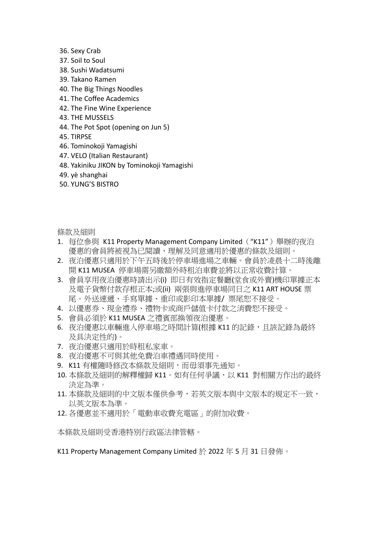- 36. Sexy Crab
- 37. Soil to Soul
- 38. Sushi Wadatsumi
- 39. Takano Ramen
- 40. The Big Things Noodles
- 41. The Coffee Academics
- 42. The Fine Wine Experience
- 43. THE MUSSELS
- 44. The Pot Spot (opening on Jun 5)
- 45. TIRPSE
- 46. Tominokoji Yamagishi
- 47. VELO (Italian Restaurant)
- 48. Yakiniku JIKON by Tominokoji Yamagishi
- 49. yè shanghai
- 50. YUNG'S BISTRO

條款及細則

- 1. 每位參與 K11 Property Management Company Limited("K11")舉辦的夜泊 優惠的會員將被視為已閱讀、理解及同意適用於優惠的條款及細則。
- 2. 夜泊優惠只適用於下午五時後於停車場進場之車輛。會員於凌晨十二時後離 開 K11 MUSEA 停車場需另繳額外時租泊車費並將以正常收費計算。
- 3. 會員享用夜泊優惠時請出示(i) 即日有效指定餐廳(堂食或外賣)機印單據正本 及電子貨幣付款存根正本;或(ii) 兩張與進停車場同日之 K11 ART HOUSE 票 尾。外送速遞、手寫單據、重印或影印本單據/ 票尾恕不接受。
- 4. 以優惠券、現金禮券、禮物卡或商戶儲值卡付款之消費恕不接受。
- 5. 會員必須於 K11 MUSEA 之禮賓部換領夜泊優惠。
- 6. 夜泊優惠以車輛進入停車場之時間計算(根據 K11 的記錄, 且該記錄為最終 及具決定性的)。
- 7. 夜泊優惠只適用於時租私家車。
- 8. 夜泊優惠不可與其他免費泊車禮遇同時使用。
- 9. K11 有權隨時修改本條款及細則,而毋須事先涌知。
- 10. 本條款及細則的解釋權歸 K11。如有任何爭議,以 K11 對相關方作出的最終 決定為準。
- 11. 本條款及細則的中文版本僅供參考,若英文版本與中文版本的規定不一致, 以英文版本為準。
- 12. 各優惠並不適用於「電動車收費充電區」的附加收費。

本條款及細則受香港特別行政區法律管轄。

K11 Property Management Company Limited 於 2022 年 5 月 31 日發佈。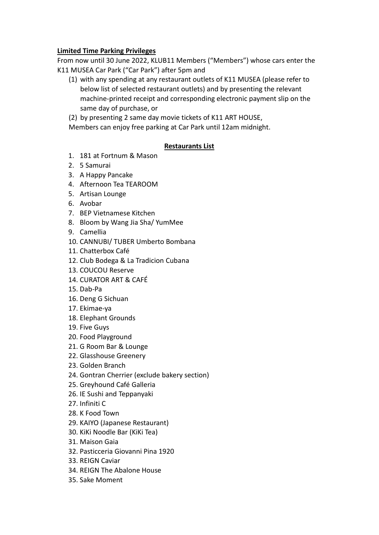### **Limited Time Parking Privileges**

From now until 30 June 2022, KLUB11 Members ("Members") whose cars enter the K11 MUSEA Car Park ("Car Park") after 5pm and

- (1) with any spending at any restaurant outlets of K11 MUSEA (please refer to below list of selected restaurant outlets) and by presenting the relevant machine-printed receipt and corresponding electronic payment slip on the same day of purchase, or
- (2) by presenting 2 same day movie tickets of K11 ART HOUSE,

Members can enjoy free parking at Car Park until 12am midnight.

### **Restaurants List**

- 1. 181 at Fortnum & Mason
- 2. 5 Samurai
- 3. A Happy Pancake
- 4. Afternoon Tea TEAROOM
- 5. Artisan Lounge
- 6. Avobar
- 7. BEP Vietnamese Kitchen
- 8. Bloom by Wang Jia Sha/ YumMee
- 9. Camellia
- 10. CANNUBI/ TUBER Umberto Bombana
- 11. Chatterbox Café
- 12. Club Bodega & La Tradicion Cubana
- 13. COUCOU Reserve
- 14. CURATOR ART & CAFÉ
- 15. Dab-Pa
- 16. Deng G Sichuan
- 17. Ekimae-ya
- 18. Elephant Grounds
- 19. Five Guys
- 20. Food Playground
- 21. G Room Bar & Lounge
- 22. Glasshouse Greenery
- 23. Golden Branch
- 24. Gontran Cherrier (exclude bakery section)
- 25. Greyhound Café Galleria
- 26. IE Sushi and Teppanyaki
- 27. Infiniti C
- 28. K Food Town
- 29. KAIYO (Japanese Restaurant)
- 30. KiKi Noodle Bar (KiKi Tea)
- 31. Maison Gaia
- 32. Pasticceria Giovanni Pina 1920
- 33. REIGN Caviar
- 34. REIGN The Abalone House
- 35. Sake Moment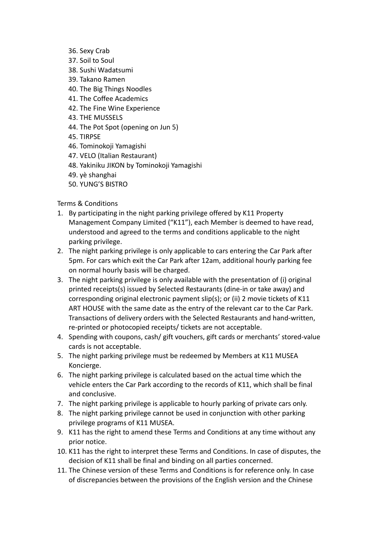- 36. Sexy Crab
- 37. Soil to Soul
- 38. Sushi Wadatsumi
- 39. Takano Ramen
- 40. The Big Things Noodles
- 41. The Coffee Academics
- 42. The Fine Wine Experience
- 43. THE MUSSELS
- 44. The Pot Spot (opening on Jun 5)
- 45. TIRPSE
- 46. Tominokoji Yamagishi
- 47. VELO (Italian Restaurant)
- 48. Yakiniku JIKON by Tominokoji Yamagishi
- 49. yè shanghai
- 50. YUNG'S BISTRO

Terms & Conditions

- 1. By participating in the night parking privilege offered by K11 Property Management Company Limited ("K11"), each Member is deemed to have read, understood and agreed to the terms and conditions applicable to the night parking privilege.
- 2. The night parking privilege is only applicable to cars entering the Car Park after 5pm. For cars which exit the Car Park after 12am, additional hourly parking fee on normal hourly basis will be charged.
- 3. The night parking privilege is only available with the presentation of (i) original printed receipts(s) issued by Selected Restaurants (dine-in or take away) and corresponding original electronic payment slip(s); or (ii) 2 movie tickets of K11 ART HOUSE with the same date as the entry of the relevant car to the Car Park. Transactions of delivery orders with the Selected Restaurants and hand-written, re-printed or photocopied receipts/ tickets are not acceptable.
- 4. Spending with coupons, cash/ gift vouchers, gift cards or merchants' stored-value cards is not acceptable.
- 5. The night parking privilege must be redeemed by Members at K11 MUSEA Koncierge.
- 6. The night parking privilege is calculated based on the actual time which the vehicle enters the Car Park according to the records of K11, which shall be final and conclusive.
- 7. The night parking privilege is applicable to hourly parking of private cars only.
- 8. The night parking privilege cannot be used in conjunction with other parking privilege programs of K11 MUSEA.
- 9. K11 has the right to amend these Terms and Conditions at any time without any prior notice.
- 10. K11 has the right to interpret these Terms and Conditions. In case of disputes, the decision of K11 shall be final and binding on all parties concerned.
- 11. The Chinese version of these Terms and Conditions is for reference only. In case of discrepancies between the provisions of the English version and the Chinese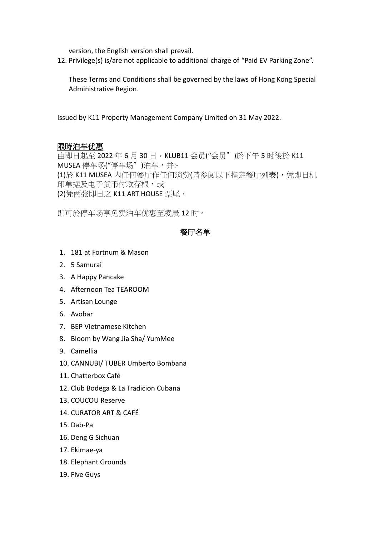version, the English version shall prevail.

12. Privilege(s) is/are not applicable to additional charge of "Paid EV Parking Zone".

These Terms and Conditions shall be governed by the laws of Hong Kong Special Administrative Region.

Issued by K11 Property Management Company Limited on 31 May 2022.

#### 限時泊车优惠

由即日起至 2022 年 6 月 30 日,KLUB11 会员("会员")於下午 5 时後於 K11 MUSEA 停车场("停车场")泊车,并:-(1)於 K11 MUSEA 内任何餐厅作任何消费(请参阅以下指定餐厅列表),凭即日机 印单据及电子货币付款存根,或 (2)凭两张即日之 K11 ART HOUSE 票尾,

即可於停车场享免费泊车优惠至凌晨 12 时。

### 餐厅名单

- 1. 181 at Fortnum & Mason
- 2. 5 Samurai
- 3. A Happy Pancake
- 4. Afternoon Tea TEAROOM
- 5. Artisan Lounge
- 6. Avobar
- 7. BEP Vietnamese Kitchen
- 8. Bloom by Wang Jia Sha/ YumMee
- 9. Camellia
- 10. CANNUBI/ TUBER Umberto Bombana
- 11. Chatterbox Café
- 12. Club Bodega & La Tradicion Cubana
- 13. COUCOU Reserve
- 14. CURATOR ART & CAFÉ
- 15. Dab-Pa
- 16. Deng G Sichuan
- 17. Ekimae-ya
- 18. Elephant Grounds
- 19. Five Guys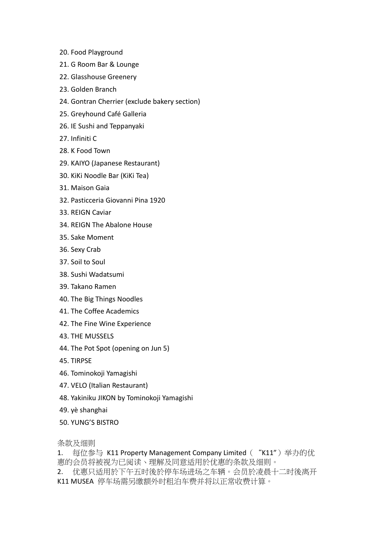- 20. Food Playground
- 21. G Room Bar & Lounge
- 22. Glasshouse Greenery
- 23. Golden Branch
- 24. Gontran Cherrier (exclude bakery section)
- 25. Greyhound Café Galleria
- 26. IE Sushi and Teppanyaki
- 27. Infiniti C
- 28. K Food Town
- 29. KAIYO (Japanese Restaurant)
- 30. KiKi Noodle Bar (KiKi Tea)
- 31. Maison Gaia
- 32. Pasticceria Giovanni Pina 1920
- 33. REIGN Caviar
- 34. REIGN The Abalone House
- 35. Sake Moment
- 36. Sexy Crab
- 37. Soil to Soul
- 38. Sushi Wadatsumi
- 39. Takano Ramen
- 40. The Big Things Noodles
- 41. The Coffee Academics
- 42. The Fine Wine Experience
- 43. THE MUSSELS
- 44. The Pot Spot (opening on Jun 5)
- 45. TIRPSE
- 46. Tominokoji Yamagishi
- 47. VELO (Italian Restaurant)
- 48. Yakiniku JIKON by Tominokoji Yamagishi
- 49. yè shanghai
- 50. YUNG'S BISTRO

条款及细则

1. 每位参与 K11 Property Management Company Limited ( "K11") 举办的优 惠的会员将被视为已阅读丶理解及同意适用於优惠的条款及细则。

2. 优惠只适用於下午五时後於停车场进场之车辆。会员於凌晨十二时後离开 K11 MUSEA 停车场需另缴额外时租泊车费并将以正常收费计算。